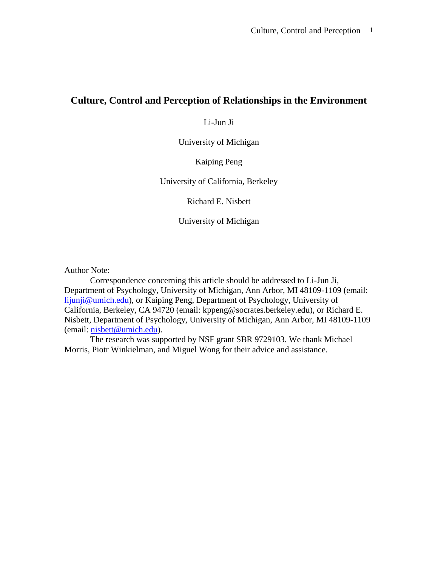# **Culture, Control and Perception of Relationships in the Environment**

Li-Jun Ji

University of Michigan

Kaiping Peng

University of California, Berkeley

Richard E. Nisbett

University of Michigan

Author Note:

Correspondence concerning this article should be addressed to Li-Jun Ji, Department of Psychology, University of Michigan, Ann Arbor, MI 48109-1109 (email: [lijunji@umich.edu](mailto:lijunji@umich.edu)), or Kaiping Peng, Department of Psychology, University of California, Berkeley, CA 94720 (email: kppeng@socrates.berkeley.edu), or Richard E. Nisbett, Department of Psychology, University of Michigan, Ann Arbor, MI 48109-1109 (email: [nisbett@umich.edu](mailto:lijunji@umich.edu)).

The research was supported by NSF grant SBR 9729103. We thank Michael Morris, Piotr Winkielman, and Miguel Wong for their advice and assistance.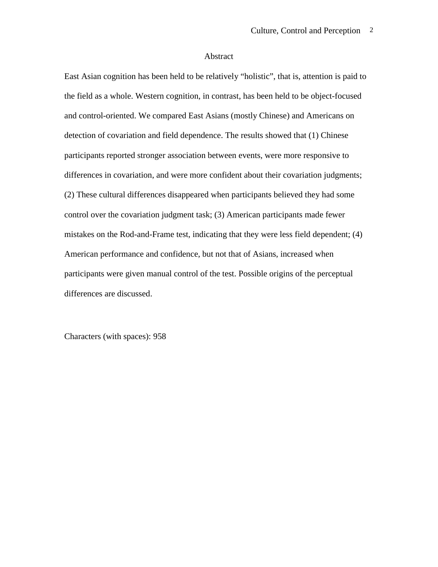#### Abstract

East Asian cognition has been held to be relatively "holistic", that is, attention is paid to the field as a whole. Western cognition, in contrast, has been held to be object-focused and control-oriented. We compared East Asians (mostly Chinese) and Americans on detection of covariation and field dependence. The results showed that (1) Chinese participants reported stronger association between events, were more responsive to differences in covariation, and were more confident about their covariation judgments; (2) These cultural differences disappeared when participants believed they had some control over the covariation judgment task; (3) American participants made fewer mistakes on the Rod-and-Frame test, indicating that they were less field dependent; (4) American performance and confidence, but not that of Asians, increased when participants were given manual control of the test. Possible origins of the perceptual differences are discussed.

Characters (with spaces): 958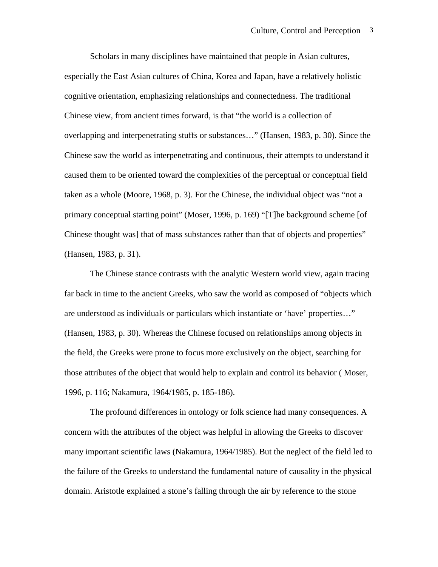Scholars in many disciplines have maintained that people in Asian cultures, especially the East Asian cultures of China, Korea and Japan, have a relatively holistic cognitive orientation, emphasizing relationships and connectedness. The traditional Chinese view, from ancient times forward, is that "the world is a collection of overlapping and interpenetrating stuffs or substances…" (Hansen, 1983, p. 30). Since the Chinese saw the world as interpenetrating and continuous, their attempts to understand it caused them to be oriented toward the complexities of the perceptual or conceptual field taken as a whole (Moore, 1968, p. 3). For the Chinese, the individual object was "not a primary conceptual starting point" (Moser, 1996, p. 169) "[T]he background scheme [of Chinese thought was] that of mass substances rather than that of objects and properties" (Hansen, 1983, p. 31).

The Chinese stance contrasts with the analytic Western world view, again tracing far back in time to the ancient Greeks, who saw the world as composed of "objects which are understood as individuals or particulars which instantiate or 'have' properties…" (Hansen, 1983, p. 30). Whereas the Chinese focused on relationships among objects in the field, the Greeks were prone to focus more exclusively on the object, searching for those attributes of the object that would help to explain and control its behavior ( Moser, 1996, p. 116; Nakamura, 1964/1985, p. 185-186).

The profound differences in ontology or folk science had many consequences. A concern with the attributes of the object was helpful in allowing the Greeks to discover many important scientific laws (Nakamura, 1964/1985). But the neglect of the field led to the failure of the Greeks to understand the fundamental nature of causality in the physical domain. Aristotle explained a stone's falling through the air by reference to the stone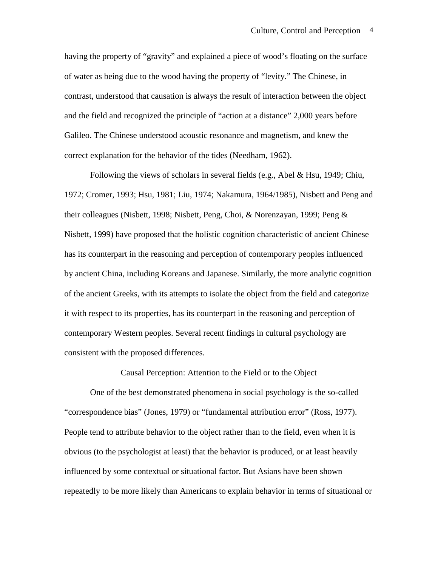having the property of "gravity" and explained a piece of wood's floating on the surface of water as being due to the wood having the property of "levity." The Chinese, in contrast, understood that causation is always the result of interaction between the object and the field and recognized the principle of "action at a distance" 2,000 years before Galileo. The Chinese understood acoustic resonance and magnetism, and knew the correct explanation for the behavior of the tides (Needham, 1962).

Following the views of scholars in several fields (e.g., Abel & Hsu, 1949; Chiu, 1972; Cromer, 1993; Hsu, 1981; Liu, 1974; Nakamura, 1964/1985), Nisbett and Peng and their colleagues (Nisbett, 1998; Nisbett, Peng, Choi, & Norenzayan, 1999; Peng & Nisbett, 1999) have proposed that the holistic cognition characteristic of ancient Chinese has its counterpart in the reasoning and perception of contemporary peoples influenced by ancient China, including Koreans and Japanese. Similarly, the more analytic cognition of the ancient Greeks, with its attempts to isolate the object from the field and categorize it with respect to its properties, has its counterpart in the reasoning and perception of contemporary Western peoples. Several recent findings in cultural psychology are consistent with the proposed differences.

Causal Perception: Attention to the Field or to the Object

One of the best demonstrated phenomena in social psychology is the so-called "correspondence bias" (Jones, 1979) or "fundamental attribution error" (Ross, 1977). People tend to attribute behavior to the object rather than to the field, even when it is obvious (to the psychologist at least) that the behavior is produced, or at least heavily influenced by some contextual or situational factor. But Asians have been shown repeatedly to be more likely than Americans to explain behavior in terms of situational or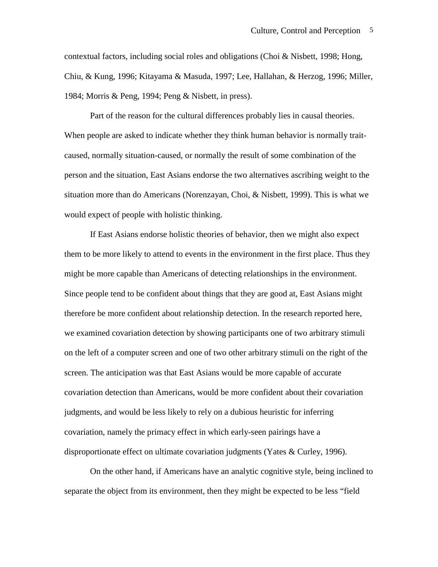contextual factors, including social roles and obligations (Choi & Nisbett, 1998; Hong, Chiu, & Kung, 1996; Kitayama & Masuda, 1997; Lee, Hallahan, & Herzog, 1996; Miller, 1984; Morris & Peng, 1994; Peng & Nisbett, in press).

Part of the reason for the cultural differences probably lies in causal theories. When people are asked to indicate whether they think human behavior is normally traitcaused, normally situation-caused, or normally the result of some combination of the person and the situation, East Asians endorse the two alternatives ascribing weight to the situation more than do Americans (Norenzayan, Choi, & Nisbett, 1999). This is what we would expect of people with holistic thinking.

If East Asians endorse holistic theories of behavior, then we might also expect them to be more likely to attend to events in the environment in the first place. Thus they might be more capable than Americans of detecting relationships in the environment. Since people tend to be confident about things that they are good at, East Asians might therefore be more confident about relationship detection. In the research reported here, we examined covariation detection by showing participants one of two arbitrary stimuli on the left of a computer screen and one of two other arbitrary stimuli on the right of the screen. The anticipation was that East Asians would be more capable of accurate covariation detection than Americans, would be more confident about their covariation judgments, and would be less likely to rely on a dubious heuristic for inferring covariation, namely the primacy effect in which early-seen pairings have a disproportionate effect on ultimate covariation judgments (Yates & Curley, 1996).

On the other hand, if Americans have an analytic cognitive style, being inclined to separate the object from its environment, then they might be expected to be less "field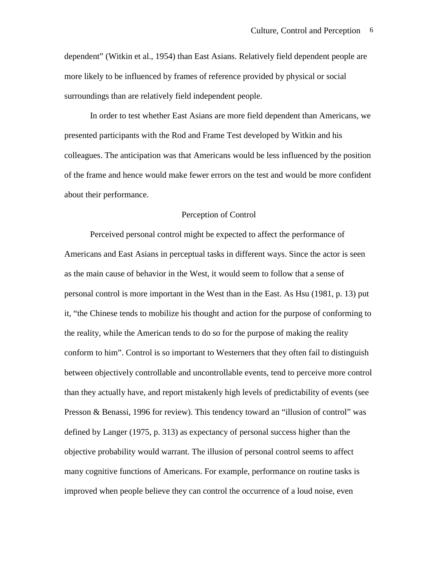dependent" (Witkin et al., 1954) than East Asians. Relatively field dependent people are more likely to be influenced by frames of reference provided by physical or social surroundings than are relatively field independent people.

In order to test whether East Asians are more field dependent than Americans, we presented participants with the Rod and Frame Test developed by Witkin and his colleagues. The anticipation was that Americans would be less influenced by the position of the frame and hence would make fewer errors on the test and would be more confident about their performance.

## Perception of Control

Perceived personal control might be expected to affect the performance of Americans and East Asians in perceptual tasks in different ways. Since the actor is seen as the main cause of behavior in the West, it would seem to follow that a sense of personal control is more important in the West than in the East. As Hsu (1981, p. 13) put it, "the Chinese tends to mobilize his thought and action for the purpose of conforming to the reality, while the American tends to do so for the purpose of making the reality conform to him". Control is so important to Westerners that they often fail to distinguish between objectively controllable and uncontrollable events, tend to perceive more control than they actually have, and report mistakenly high levels of predictability of events (see Presson & Benassi, 1996 for review). This tendency toward an "illusion of control" was defined by Langer (1975, p. 313) as expectancy of personal success higher than the objective probability would warrant. The illusion of personal control seems to affect many cognitive functions of Americans. For example, performance on routine tasks is improved when people believe they can control the occurrence of a loud noise, even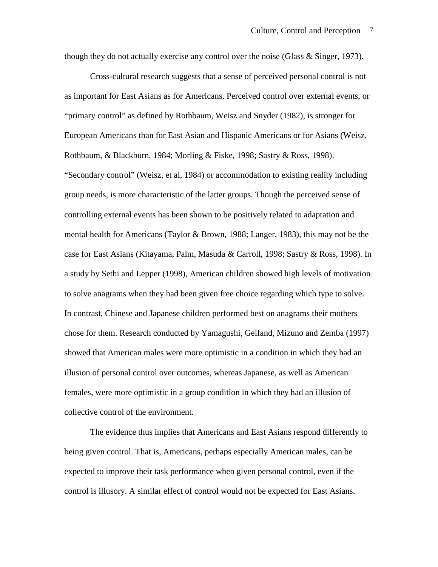though they do not actually exercise any control over the noise (Glass & Singer, 1973).

Cross-cultural research suggests that a sense of perceived personal control is not as important for East Asians as for Americans. Perceived control over external events, or "primary control" as defined by Rothbaum, Weisz and Snyder (1982), is stronger for European Americans than for East Asian and Hispanic Americans or for Asians (Weisz, Rothbaum, & Blackburn, 1984; Morling & Fiske, 1998; Sastry & Ross, 1998). "Secondary control" (Weisz, et al, 1984) or accommodation to existing reality including group needs, is more characteristic of the latter groups. Though the perceived sense of controlling external events has been shown to be positively related to adaptation and mental health for Americans (Taylor & Brown, 1988; Langer, 1983), this may not be the case for East Asians (Kitayama, Palm, Masuda & Carroll, 1998; Sastry & Ross, 1998). In a study by Sethi and Lepper (1998), American children showed high levels of motivation to solve anagrams when they had been given free choice regarding which type to solve. In contrast, Chinese and Japanese children performed best on anagrams their mothers chose for them. Research conducted by Yamagushi, Gelfand, Mizuno and Zemba (1997) showed that American males were more optimistic in a condition in which they had an illusion of personal control over outcomes, whereas Japanese, as well as American females, were more optimistic in a group condition in which they had an illusion of collective control of the environment.

The evidence thus implies that Americans and East Asians respond differently to being given control. That is, Americans, perhaps especially American males, can be expected to improve their task performance when given personal control, even if the control is illusory. A similar effect of control would not be expected for East Asians.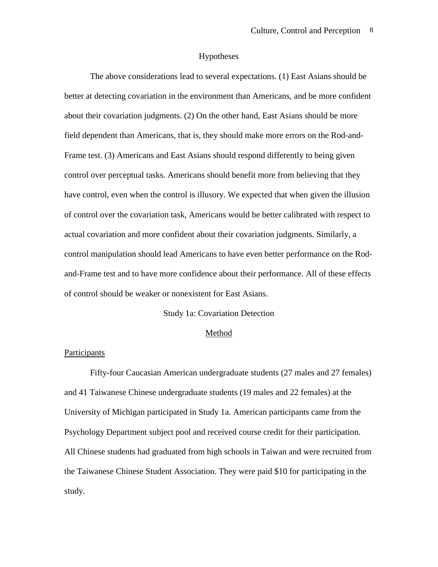## Hypotheses

The above considerations lead to several expectations. (1) East Asians should be better at detecting covariation in the environment than Americans, and be more confident about their covariation judgments. (2) On the other hand, East Asians should be more field dependent than Americans, that is, they should make more errors on the Rod-and-Frame test. (3) Americans and East Asians should respond differently to being given control over perceptual tasks. Americans should benefit more from believing that they have control, even when the control is illusory. We expected that when given the illusion of control over the covariation task, Americans would be better calibrated with respect to actual covariation and more confident about their covariation judgments. Similarly, a control manipulation should lead Americans to have even better performance on the Rodand-Frame test and to have more confidence about their performance. All of these effects of control should be weaker or nonexistent for East Asians.

## Study 1a: Covariation Detection

## Method

# Participants

Fifty-four Caucasian American undergraduate students (27 males and 27 females) and 41 Taiwanese Chinese undergraduate students (19 males and 22 females) at the University of Michigan participated in Study 1a. American participants came from the Psychology Department subject pool and received course credit for their participation. All Chinese students had graduated from high schools in Taiwan and were recruited from the Taiwanese Chinese Student Association. They were paid \$10 for participating in the study.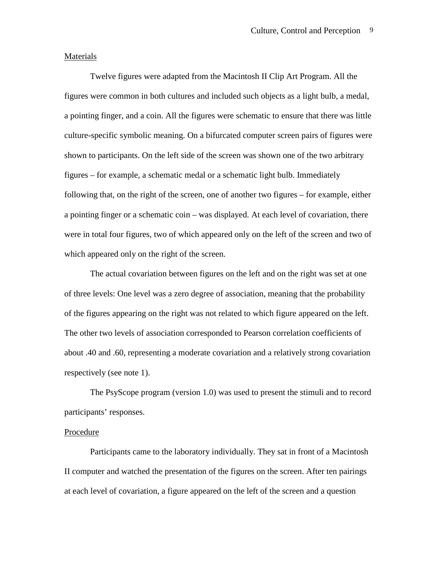## Materials

Twelve figures were adapted from the Macintosh II Clip Art Program. All the figures were common in both cultures and included such objects as a light bulb, a medal, a pointing finger, and a coin. All the figures were schematic to ensure that there was little culture-specific symbolic meaning. On a bifurcated computer screen pairs of figures were shown to participants. On the left side of the screen was shown one of the two arbitrary figures – for example, a schematic medal or a schematic light bulb. Immediately following that, on the right of the screen, one of another two figures – for example, either a pointing finger or a schematic coin – was displayed. At each level of covariation, there were in total four figures, two of which appeared only on the left of the screen and two of which appeared only on the right of the screen.

The actual covariation between figures on the left and on the right was set at one of three levels: One level was a zero degree of association, meaning that the probability of the figures appearing on the right was not related to which figure appeared on the left. The other two levels of association corresponded to Pearson correlation coefficients of about .40 and .60, representing a moderate covariation and a relatively strong covariation respectively (see note 1).

The PsyScope program (version 1.0) was used to present the stimuli and to record participants' responses.

# Procedure

Participants came to the laboratory individually. They sat in front of a Macintosh II computer and watched the presentation of the figures on the screen. After ten pairings at each level of covariation, a figure appeared on the left of the screen and a question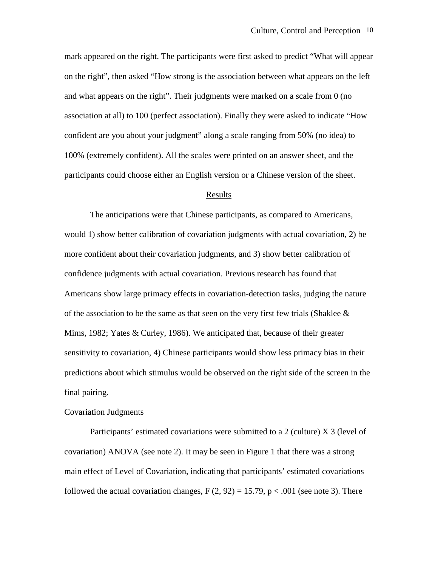mark appeared on the right. The participants were first asked to predict "What will appear on the right", then asked "How strong is the association between what appears on the left and what appears on the right". Their judgments were marked on a scale from 0 (no association at all) to 100 (perfect association). Finally they were asked to indicate "How confident are you about your judgment" along a scale ranging from 50% (no idea) to 100% (extremely confident). All the scales were printed on an answer sheet, and the participants could choose either an English version or a Chinese version of the sheet.

#### Results

The anticipations were that Chinese participants, as compared to Americans, would 1) show better calibration of covariation judgments with actual covariation, 2) be more confident about their covariation judgments, and 3) show better calibration of confidence judgments with actual covariation. Previous research has found that Americans show large primacy effects in covariation-detection tasks, judging the nature of the association to be the same as that seen on the very first few trials (Shaklee  $\&$ Mims, 1982; Yates & Curley, 1986). We anticipated that, because of their greater sensitivity to covariation, 4) Chinese participants would show less primacy bias in their predictions about which stimulus would be observed on the right side of the screen in the final pairing.

## Covariation Judgments

Participants' estimated covariations were submitted to a 2 (culture) X 3 (level of covariation) ANOVA (see note 2). It may be seen in Figure 1 that there was a strong main effect of Level of Covariation, indicating that participants' estimated covariations followed the actual covariation changes,  $F(2, 92) = 15.79$ ,  $p < .001$  (see note 3). There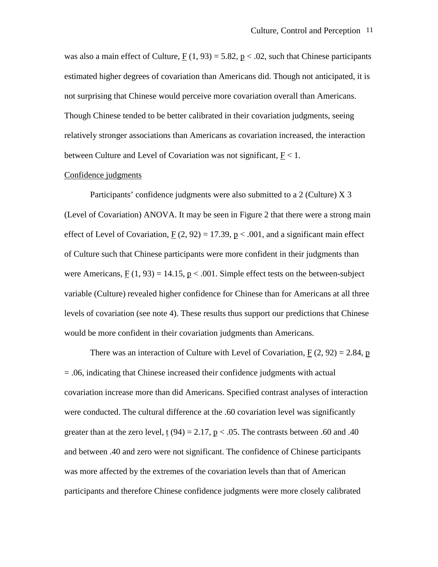was also a main effect of Culture,  $F(1, 93) = 5.82$ ,  $p < .02$ , such that Chinese participants estimated higher degrees of covariation than Americans did. Though not anticipated, it is not surprising that Chinese would perceive more covariation overall than Americans. Though Chinese tended to be better calibrated in their covariation judgments, seeing relatively stronger associations than Americans as covariation increased, the interaction between Culture and Level of Covariation was not significant,  $F < 1$ .

## Confidence judgments

Participants' confidence judgments were also submitted to a 2 (Culture) X 3 (Level of Covariation) ANOVA. It may be seen in Figure 2 that there were a strong main effect of Level of Covariation,  $F(2, 92) = 17.39$ ,  $p < .001$ , and a significant main effect of Culture such that Chinese participants were more confident in their judgments than were Americans,  $F(1, 93) = 14.15$ ,  $p < .001$ . Simple effect tests on the between-subject variable (Culture) revealed higher confidence for Chinese than for Americans at all three levels of covariation (see note 4). These results thus support our predictions that Chinese would be more confident in their covariation judgments than Americans.

There was an interaction of Culture with Level of Covariation,  $F(2, 92) = 2.84$ , p = .06, indicating that Chinese increased their confidence judgments with actual covariation increase more than did Americans. Specified contrast analyses of interaction were conducted. The cultural difference at the .60 covariation level was significantly greater than at the zero level, t  $(94) = 2.17$ , p < .05. The contrasts between .60 and .40 and between .40 and zero were not significant. The confidence of Chinese participants was more affected by the extremes of the covariation levels than that of American participants and therefore Chinese confidence judgments were more closely calibrated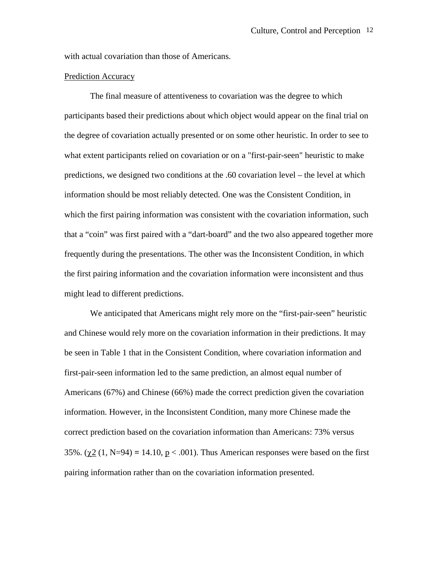with actual covariation than those of Americans.

# Prediction Accuracy

The final measure of attentiveness to covariation was the degree to which participants based their predictions about which object would appear on the final trial on the degree of covariation actually presented or on some other heuristic. In order to see to what extent participants relied on covariation or on a "first-pair-seen" heuristic to make predictions, we designed two conditions at the .60 covariation level – the level at which information should be most reliably detected. One was the Consistent Condition, in which the first pairing information was consistent with the covariation information, such that a "coin" was first paired with a "dart-board" and the two also appeared together more frequently during the presentations. The other was the Inconsistent Condition, in which the first pairing information and the covariation information were inconsistent and thus might lead to different predictions.

We anticipated that Americans might rely more on the "first-pair-seen" heuristic and Chinese would rely more on the covariation information in their predictions. It may be seen in Table 1 that in the Consistent Condition, where covariation information and first-pair-seen information led to the same prediction, an almost equal number of Americans (67%) and Chinese (66%) made the correct prediction given the covariation information. However, in the Inconsistent Condition, many more Chinese made the correct prediction based on the covariation information than Americans: 73% versus 35%.  $(\chi^2(1, N=94) = 14.10, p < .001)$ . Thus American responses were based on the first pairing information rather than on the covariation information presented.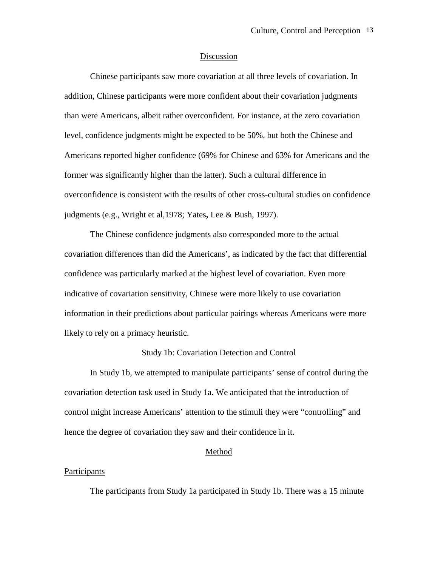## Discussion

Chinese participants saw more covariation at all three levels of covariation. In addition, Chinese participants were more confident about their covariation judgments than were Americans, albeit rather overconfident. For instance, at the zero covariation level, confidence judgments might be expected to be 50%, but both the Chinese and Americans reported higher confidence (69% for Chinese and 63% for Americans and the former was significantly higher than the latter). Such a cultural difference in overconfidence is consistent with the results of other cross-cultural studies on confidence judgments (e.g., Wright et al,1978; Yates**,** Lee & Bush, 1997).

The Chinese confidence judgments also corresponded more to the actual covariation differences than did the Americans', as indicated by the fact that differential confidence was particularly marked at the highest level of covariation. Even more indicative of covariation sensitivity, Chinese were more likely to use covariation information in their predictions about particular pairings whereas Americans were more likely to rely on a primacy heuristic.

# Study 1b: Covariation Detection and Control

In Study 1b, we attempted to manipulate participants' sense of control during the covariation detection task used in Study 1a. We anticipated that the introduction of control might increase Americans' attention to the stimuli they were "controlling" and hence the degree of covariation they saw and their confidence in it.

#### Method

#### **Participants**

The participants from Study 1a participated in Study 1b. There was a 15 minute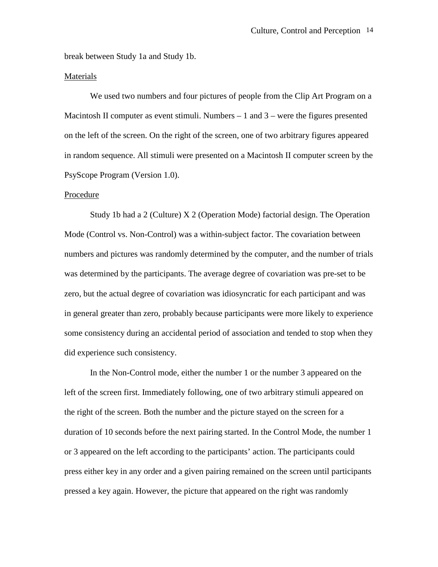break between Study 1a and Study 1b.

# Materials

We used two numbers and four pictures of people from the Clip Art Program on a Macintosh II computer as event stimuli. Numbers  $-1$  and  $3$  – were the figures presented on the left of the screen. On the right of the screen, one of two arbitrary figures appeared in random sequence. All stimuli were presented on a Macintosh II computer screen by the PsyScope Program (Version 1.0).

# Procedure

Study 1b had a 2 (Culture) X 2 (Operation Mode) factorial design. The Operation Mode (Control vs. Non-Control) was a within-subject factor. The covariation between numbers and pictures was randomly determined by the computer, and the number of trials was determined by the participants. The average degree of covariation was pre-set to be zero, but the actual degree of covariation was idiosyncratic for each participant and was in general greater than zero, probably because participants were more likely to experience some consistency during an accidental period of association and tended to stop when they did experience such consistency.

In the Non-Control mode, either the number 1 or the number 3 appeared on the left of the screen first. Immediately following, one of two arbitrary stimuli appeared on the right of the screen. Both the number and the picture stayed on the screen for a duration of 10 seconds before the next pairing started. In the Control Mode, the number 1 or 3 appeared on the left according to the participants' action. The participants could press either key in any order and a given pairing remained on the screen until participants pressed a key again. However, the picture that appeared on the right was randomly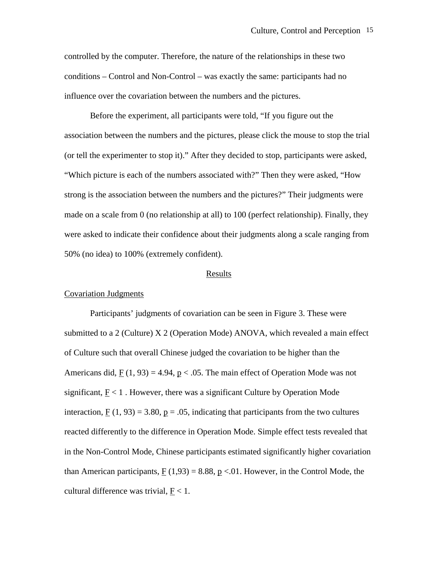controlled by the computer. Therefore, the nature of the relationships in these two conditions – Control and Non-Control – was exactly the same: participants had no influence over the covariation between the numbers and the pictures.

Before the experiment, all participants were told, "If you figure out the association between the numbers and the pictures, please click the mouse to stop the trial (or tell the experimenter to stop it)." After they decided to stop, participants were asked, "Which picture is each of the numbers associated with?" Then they were asked, "How strong is the association between the numbers and the pictures?" Their judgments were made on a scale from 0 (no relationship at all) to 100 (perfect relationship). Finally, they were asked to indicate their confidence about their judgments along a scale ranging from 50% (no idea) to 100% (extremely confident).

#### Results

#### Covariation Judgments

Participants' judgments of covariation can be seen in Figure 3. These were submitted to a 2 (Culture) X 2 (Operation Mode) ANOVA, which revealed a main effect of Culture such that overall Chinese judged the covariation to be higher than the Americans did,  $F(1, 93) = 4.94$ ,  $p < .05$ . The main effect of Operation Mode was not significant,  $F < 1$ . However, there was a significant Culture by Operation Mode interaction,  $F(1, 93) = 3.80$ ,  $p = .05$ , indicating that participants from the two cultures reacted differently to the difference in Operation Mode. Simple effect tests revealed that in the Non-Control Mode, Chinese participants estimated significantly higher covariation than American participants,  $F(1,93) = 8.88$ ,  $p < 0.01$ . However, in the Control Mode, the cultural difference was trivial,  $E < 1$ .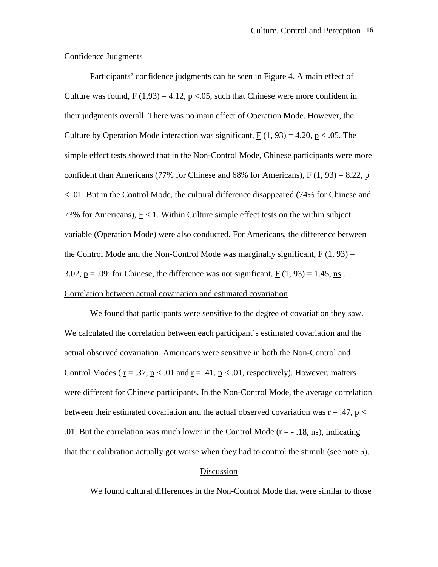## Confidence Judgments

Participants' confidence judgments can be seen in Figure 4. A main effect of Culture was found,  $F(1,93) = 4.12$ ,  $p < 0.05$ , such that Chinese were more confident in their judgments overall. There was no main effect of Operation Mode. However, the Culture by Operation Mode interaction was significant,  $F(1, 93) = 4.20$ ,  $p < .05$ . The simple effect tests showed that in the Non-Control Mode, Chinese participants were more confident than Americans (77% for Chinese and 68% for Americans),  $F(1, 93) = 8.22$ , p < .01. But in the Control Mode, the cultural difference disappeared (74% for Chinese and 73% for Americans),  $F < 1$ . Within Culture simple effect tests on the within subject variable (Operation Mode) were also conducted. For Americans, the difference between the Control Mode and the Non-Control Mode was marginally significant,  $F(1, 93) =$ 3.02,  $p = .09$ ; for Chinese, the difference was not significant,  $F(1, 93) = 1.45$ , ns. Correlation between actual covariation and estimated covariation

We found that participants were sensitive to the degree of covariation they saw. We calculated the correlation between each participant's estimated covariation and the actual observed covariation. Americans were sensitive in both the Non-Control and Control Modes ( $r = .37$ ,  $p < .01$  and  $r = .41$ ,  $p < .01$ , respectively). However, matters were different for Chinese participants. In the Non-Control Mode, the average correlation between their estimated covariation and the actual observed covariation was  $r = .47$ ,  $p <$ .01. But the correlation was much lower in the Control Mode  $(r = -18, ns)$ , indicating that their calibration actually got worse when they had to control the stimuli (see note 5).

# Discussion

We found cultural differences in the Non-Control Mode that were similar to those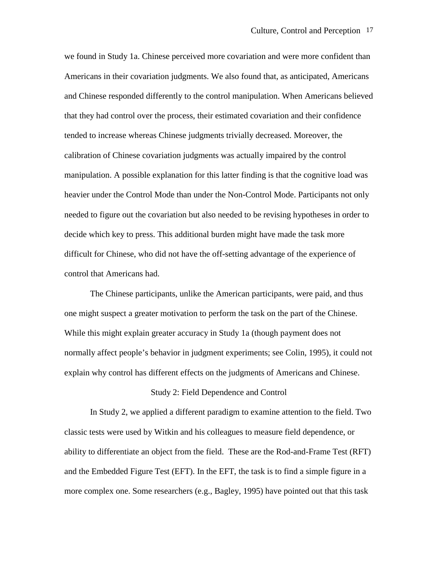we found in Study 1a. Chinese perceived more covariation and were more confident than Americans in their covariation judgments. We also found that, as anticipated, Americans and Chinese responded differently to the control manipulation. When Americans believed that they had control over the process, their estimated covariation and their confidence tended to increase whereas Chinese judgments trivially decreased. Moreover, the calibration of Chinese covariation judgments was actually impaired by the control manipulation. A possible explanation for this latter finding is that the cognitive load was heavier under the Control Mode than under the Non-Control Mode. Participants not only needed to figure out the covariation but also needed to be revising hypotheses in order to decide which key to press. This additional burden might have made the task more difficult for Chinese, who did not have the off-setting advantage of the experience of control that Americans had.

The Chinese participants, unlike the American participants, were paid, and thus one might suspect a greater motivation to perform the task on the part of the Chinese. While this might explain greater accuracy in Study 1a (though payment does not normally affect people's behavior in judgment experiments; see Colin, 1995), it could not explain why control has different effects on the judgments of Americans and Chinese.

### Study 2: Field Dependence and Control

In Study 2, we applied a different paradigm to examine attention to the field. Two classic tests were used by Witkin and his colleagues to measure field dependence, or ability to differentiate an object from the field. These are the Rod-and-Frame Test (RFT) and the Embedded Figure Test (EFT). In the EFT, the task is to find a simple figure in a more complex one. Some researchers (e.g., Bagley, 1995) have pointed out that this task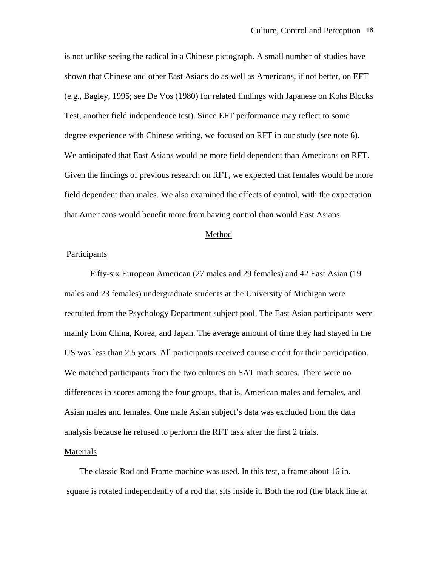is not unlike seeing the radical in a Chinese pictograph. A small number of studies have shown that Chinese and other East Asians do as well as Americans, if not better, on EFT (e.g., Bagley, 1995; see De Vos (1980) for related findings with Japanese on Kohs Blocks Test, another field independence test). Since EFT performance may reflect to some degree experience with Chinese writing, we focused on RFT in our study (see note 6). We anticipated that East Asians would be more field dependent than Americans on RFT. Given the findings of previous research on RFT, we expected that females would be more field dependent than males. We also examined the effects of control, with the expectation that Americans would benefit more from having control than would East Asians.

#### Method

## Participants

 Fifty-six European American (27 males and 29 females) and 42 East Asian (19 males and 23 females) undergraduate students at the University of Michigan were recruited from the Psychology Department subject pool. The East Asian participants were mainly from China, Korea, and Japan. The average amount of time they had stayed in the US was less than 2.5 years. All participants received course credit for their participation. We matched participants from the two cultures on SAT math scores. There were no differences in scores among the four groups, that is, American males and females, and Asian males and females. One male Asian subject's data was excluded from the data analysis because he refused to perform the RFT task after the first 2 trials.

#### Materials

The classic Rod and Frame machine was used. In this test, a frame about 16 in. square is rotated independently of a rod that sits inside it. Both the rod (the black line at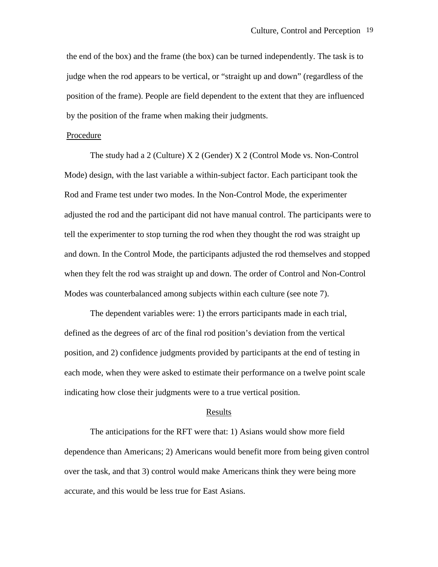the end of the box) and the frame (the box) can be turned independently. The task is to judge when the rod appears to be vertical, or "straight up and down" (regardless of the position of the frame). People are field dependent to the extent that they are influenced by the position of the frame when making their judgments.

## Procedure

The study had a 2 (Culture) X 2 (Gender) X 2 (Control Mode vs. Non-Control Mode) design, with the last variable a within-subject factor. Each participant took the Rod and Frame test under two modes. In the Non-Control Mode, the experimenter adjusted the rod and the participant did not have manual control. The participants were to tell the experimenter to stop turning the rod when they thought the rod was straight up and down. In the Control Mode, the participants adjusted the rod themselves and stopped when they felt the rod was straight up and down. The order of Control and Non-Control Modes was counterbalanced among subjects within each culture (see note 7).

The dependent variables were: 1) the errors participants made in each trial, defined as the degrees of arc of the final rod position's deviation from the vertical position, and 2) confidence judgments provided by participants at the end of testing in each mode, when they were asked to estimate their performance on a twelve point scale indicating how close their judgments were to a true vertical position.

#### Results

The anticipations for the RFT were that: 1) Asians would show more field dependence than Americans; 2) Americans would benefit more from being given control over the task, and that 3) control would make Americans think they were being more accurate, and this would be less true for East Asians.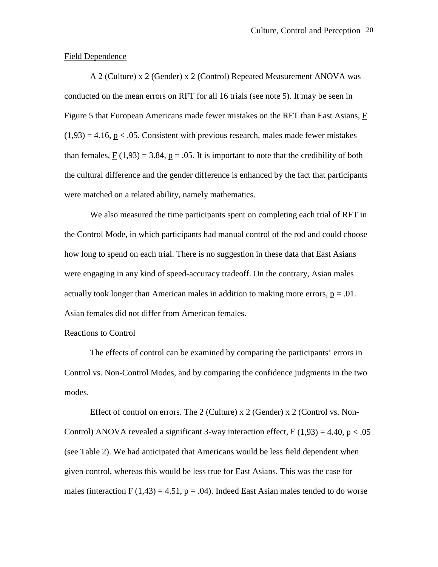## Field Dependence

A 2 (Culture) x 2 (Gender) x 2 (Control) Repeated Measurement ANOVA was conducted on the mean errors on RFT for all 16 trials (see note 5). It may be seen in Figure 5 that European Americans made fewer mistakes on the RFT than East Asians, F  $(1.93) = 4.16$ , p < .05. Consistent with previous research, males made fewer mistakes than females,  $F(1,93) = 3.84$ ,  $p = .05$ . It is important to note that the credibility of both the cultural difference and the gender difference is enhanced by the fact that participants were matched on a related ability, namely mathematics.

We also measured the time participants spent on completing each trial of RFT in the Control Mode, in which participants had manual control of the rod and could choose how long to spend on each trial. There is no suggestion in these data that East Asians were engaging in any kind of speed-accuracy tradeoff. On the contrary, Asian males actually took longer than American males in addition to making more errors,  $p = .01$ . Asian females did not differ from American females.

#### Reactions to Control

The effects of control can be examined by comparing the participants' errors in Control vs. Non-Control Modes, and by comparing the confidence judgments in the two modes.

Effect of control on errors. The 2 (Culture) x 2 (Gender) x 2 (Control vs. Non-Control) ANOVA revealed a significant 3-way interaction effect,  $F(1,93) = 4.40$ ,  $p < .05$ (see Table 2). We had anticipated that Americans would be less field dependent when given control, whereas this would be less true for East Asians. This was the case for males (interaction F (1,43) = 4.51,  $p = .04$ ). Indeed East Asian males tended to do worse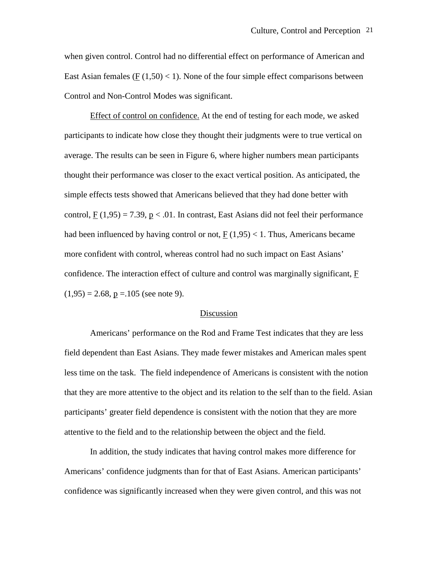when given control. Control had no differential effect on performance of American and East Asian females ( $F(1,50) < 1$ ). None of the four simple effect comparisons between Control and Non-Control Modes was significant.

Effect of control on confidence. At the end of testing for each mode, we asked participants to indicate how close they thought their judgments were to true vertical on average. The results can be seen in Figure 6, where higher numbers mean participants thought their performance was closer to the exact vertical position. As anticipated, the simple effects tests showed that Americans believed that they had done better with control,  $F(1,95) = 7.39$ ,  $p < .01$ . In contrast, East Asians did not feel their performance had been influenced by having control or not,  $F(1,95) < 1$ . Thus, Americans became more confident with control, whereas control had no such impact on East Asians' confidence. The interaction effect of culture and control was marginally significant, F  $(1,95) = 2.68$ ,  $p = 105$  (see note 9).

## Discussion

Americans' performance on the Rod and Frame Test indicates that they are less field dependent than East Asians. They made fewer mistakes and American males spent less time on the task. The field independence of Americans is consistent with the notion that they are more attentive to the object and its relation to the self than to the field. Asian participants' greater field dependence is consistent with the notion that they are more attentive to the field and to the relationship between the object and the field.

In addition, the study indicates that having control makes more difference for Americans' confidence judgments than for that of East Asians. American participants' confidence was significantly increased when they were given control, and this was not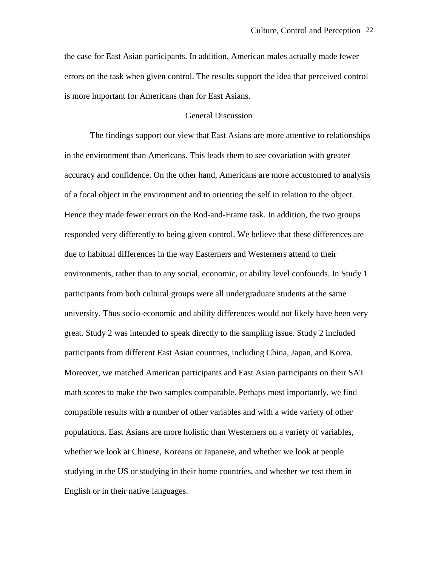the case for East Asian participants. In addition, American males actually made fewer errors on the task when given control. The results support the idea that perceived control is more important for Americans than for East Asians.

# General Discussion

The findings support our view that East Asians are more attentive to relationships in the environment than Americans. This leads them to see covariation with greater accuracy and confidence. On the other hand, Americans are more accustomed to analysis of a focal object in the environment and to orienting the self in relation to the object. Hence they made fewer errors on the Rod-and-Frame task. In addition, the two groups responded very differently to being given control. We believe that these differences are due to habitual differences in the way Easterners and Westerners attend to their environments, rather than to any social, economic, or ability level confounds. In Study 1 participants from both cultural groups were all undergraduate students at the same university. Thus socio-economic and ability differences would not likely have been very great. Study 2 was intended to speak directly to the sampling issue. Study 2 included participants from different East Asian countries, including China, Japan, and Korea. Moreover, we matched American participants and East Asian participants on their SAT math scores to make the two samples comparable. Perhaps most importantly, we find compatible results with a number of other variables and with a wide variety of other populations. East Asians are more holistic than Westerners on a variety of variables, whether we look at Chinese, Koreans or Japanese, and whether we look at people studying in the US or studying in their home countries, and whether we test them in English or in their native languages.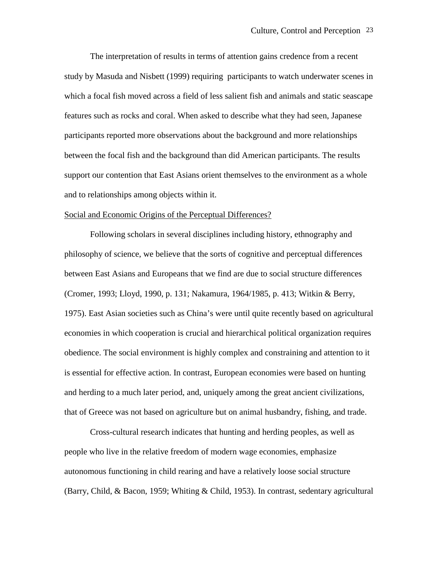The interpretation of results in terms of attention gains credence from a recent study by Masuda and Nisbett (1999) requiring participants to watch underwater scenes in which a focal fish moved across a field of less salient fish and animals and static seascape features such as rocks and coral. When asked to describe what they had seen, Japanese participants reported more observations about the background and more relationships between the focal fish and the background than did American participants. The results support our contention that East Asians orient themselves to the environment as a whole and to relationships among objects within it.

#### Social and Economic Origins of the Perceptual Differences?

Following scholars in several disciplines including history, ethnography and philosophy of science, we believe that the sorts of cognitive and perceptual differences between East Asians and Europeans that we find are due to social structure differences (Cromer, 1993; Lloyd, 1990, p. 131; Nakamura, 1964/1985, p. 413; Witkin & Berry, 1975). East Asian societies such as China's were until quite recently based on agricultural economies in which cooperation is crucial and hierarchical political organization requires obedience. The social environment is highly complex and constraining and attention to it is essential for effective action. In contrast, European economies were based on hunting and herding to a much later period, and, uniquely among the great ancient civilizations, that of Greece was not based on agriculture but on animal husbandry, fishing, and trade.

Cross-cultural research indicates that hunting and herding peoples, as well as people who live in the relative freedom of modern wage economies, emphasize autonomous functioning in child rearing and have a relatively loose social structure (Barry, Child, & Bacon, 1959; Whiting & Child, 1953). In contrast, sedentary agricultural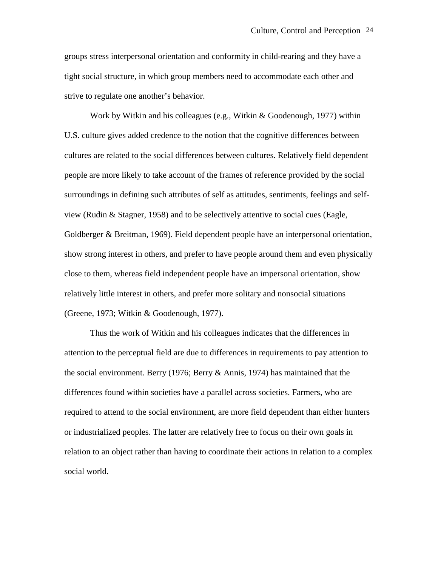groups stress interpersonal orientation and conformity in child-rearing and they have a tight social structure, in which group members need to accommodate each other and strive to regulate one another's behavior.

Work by Witkin and his colleagues (e.g., Witkin & Goodenough, 1977) within U.S. culture gives added credence to the notion that the cognitive differences between cultures are related to the social differences between cultures. Relatively field dependent people are more likely to take account of the frames of reference provided by the social surroundings in defining such attributes of self as attitudes, sentiments, feelings and selfview (Rudin & Stagner, 1958) and to be selectively attentive to social cues (Eagle, Goldberger & Breitman, 1969). Field dependent people have an interpersonal orientation, show strong interest in others, and prefer to have people around them and even physically close to them, whereas field independent people have an impersonal orientation, show relatively little interest in others, and prefer more solitary and nonsocial situations (Greene, 1973; Witkin & Goodenough, 1977).

Thus the work of Witkin and his colleagues indicates that the differences in attention to the perceptual field are due to differences in requirements to pay attention to the social environment. Berry (1976; Berry & Annis, 1974) has maintained that the differences found within societies have a parallel across societies. Farmers, who are required to attend to the social environment, are more field dependent than either hunters or industrialized peoples. The latter are relatively free to focus on their own goals in relation to an object rather than having to coordinate their actions in relation to a complex social world.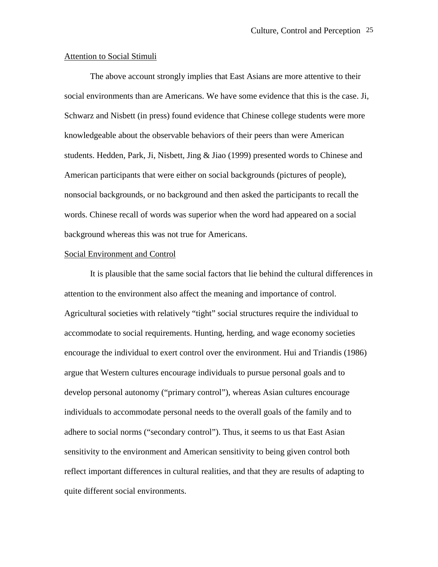## Attention to Social Stimuli

The above account strongly implies that East Asians are more attentive to their social environments than are Americans. We have some evidence that this is the case. Ji, Schwarz and Nisbett (in press) found evidence that Chinese college students were more knowledgeable about the observable behaviors of their peers than were American students. Hedden, Park, Ji, Nisbett, Jing & Jiao (1999) presented words to Chinese and American participants that were either on social backgrounds (pictures of people), nonsocial backgrounds, or no background and then asked the participants to recall the words. Chinese recall of words was superior when the word had appeared on a social background whereas this was not true for Americans.

#### Social Environment and Control

It is plausible that the same social factors that lie behind the cultural differences in attention to the environment also affect the meaning and importance of control. Agricultural societies with relatively "tight" social structures require the individual to accommodate to social requirements. Hunting, herding, and wage economy societies encourage the individual to exert control over the environment. Hui and Triandis (1986) argue that Western cultures encourage individuals to pursue personal goals and to develop personal autonomy ("primary control"), whereas Asian cultures encourage individuals to accommodate personal needs to the overall goals of the family and to adhere to social norms ("secondary control"). Thus, it seems to us that East Asian sensitivity to the environment and American sensitivity to being given control both reflect important differences in cultural realities, and that they are results of adapting to quite different social environments.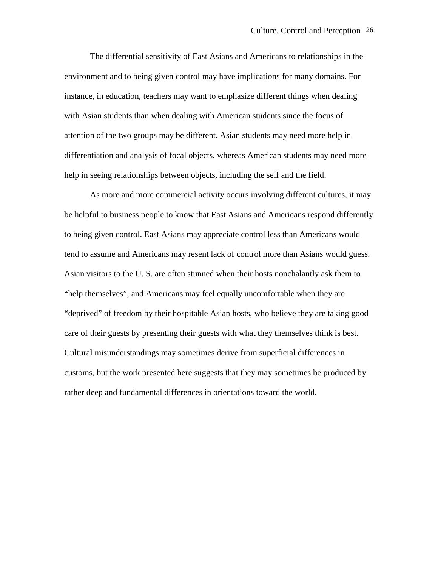The differential sensitivity of East Asians and Americans to relationships in the environment and to being given control may have implications for many domains. For instance, in education, teachers may want to emphasize different things when dealing with Asian students than when dealing with American students since the focus of attention of the two groups may be different. Asian students may need more help in differentiation and analysis of focal objects, whereas American students may need more help in seeing relationships between objects, including the self and the field.

As more and more commercial activity occurs involving different cultures, it may be helpful to business people to know that East Asians and Americans respond differently to being given control. East Asians may appreciate control less than Americans would tend to assume and Americans may resent lack of control more than Asians would guess. Asian visitors to the U. S. are often stunned when their hosts nonchalantly ask them to "help themselves", and Americans may feel equally uncomfortable when they are "deprived" of freedom by their hospitable Asian hosts, who believe they are taking good care of their guests by presenting their guests with what they themselves think is best. Cultural misunderstandings may sometimes derive from superficial differences in customs, but the work presented here suggests that they may sometimes be produced by rather deep and fundamental differences in orientations toward the world.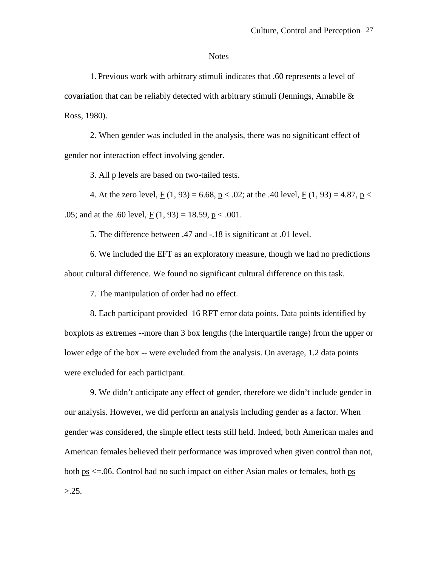#### **Notes**

1. Previous work with arbitrary stimuli indicates that .60 represents a level of covariation that can be reliably detected with arbitrary stimuli (Jennings, Amabile  $\&$ Ross, 1980).

2. When gender was included in the analysis, there was no significant effect of gender nor interaction effect involving gender.

3. All p levels are based on two-tailed tests.

4. At the zero level,  $F(1, 93) = 6.68$ ,  $p < .02$ ; at the .40 level,  $F(1, 93) = 4.87$ ,  $p <$ .05; and at the .60 level,  $F(1, 93) = 18.59$ ,  $p < .001$ .

5. The difference between .47 and -.18 is significant at .01 level.

6. We included the EFT as an exploratory measure, though we had no predictions about cultural difference. We found no significant cultural difference on this task.

7. The manipulation of order had no effect.

8. Each participant provided 16 RFT error data points. Data points identified by boxplots as extremes --more than 3 box lengths (the interquartile range) from the upper or lower edge of the box -- were excluded from the analysis. On average, 1.2 data points were excluded for each participant.

9. We didn't anticipate any effect of gender, therefore we didn't include gender in our analysis. However, we did perform an analysis including gender as a factor. When gender was considered, the simple effect tests still held. Indeed, both American males and American females believed their performance was improved when given control than not, both ps <=.06. Control had no such impact on either Asian males or females, both ps  $> 25.$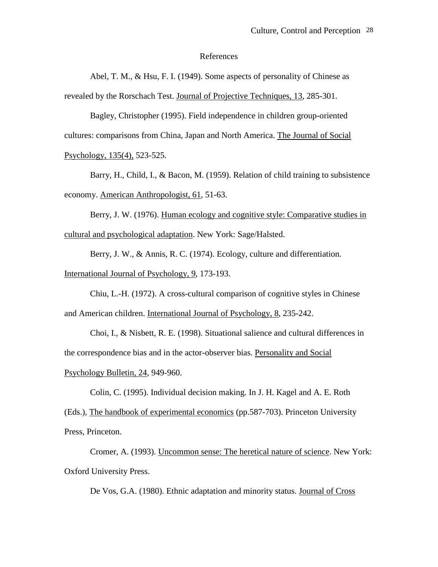#### References

Abel, T. M., & Hsu, F. I. (1949). Some aspects of personality of Chinese as revealed by the Rorschach Test. Journal of Projective Techniques, 13, 285-301.

 Bagley, Christopher (1995). Field independence in children group-oriented cultures: comparisons from China, Japan and North America. The Journal of Social Psychology, 135(4), 523-525.

Barry, H., Child, I., & Bacon, M. (1959). Relation of child training to subsistence economy. American Anthropologist, 61, 51-63.

Berry, J. W. (1976). Human ecology and cognitive style: Comparative studies in cultural and psychological adaptation. New York: Sage/Halsted.

Berry, J. W., & Annis, R. C. (1974). Ecology, culture and differentiation. International Journal of Psychology, 9, 173-193.

Chiu, L.-H. (1972). A cross-cultural comparison of cognitive styles in Chinese and American children. International Journal of Psychology, 8, 235-242.

Choi, I., & Nisbett, R. E. (1998). Situational salience and cultural differences in the correspondence bias and in the actor-observer bias. Personality and Social Psychology Bulletin, 24, 949-960.

Colin, C. (1995). Individual decision making. In J. H. Kagel and A. E. Roth

(Eds.), The handbook of experimental economics (pp.587-703). Princeton University Press, Princeton.

Cromer, A. (1993). Uncommon sense: The heretical nature of science. New York: Oxford University Press.

De Vos, G.A. (1980). Ethnic adaptation and minority status. Journal of Cross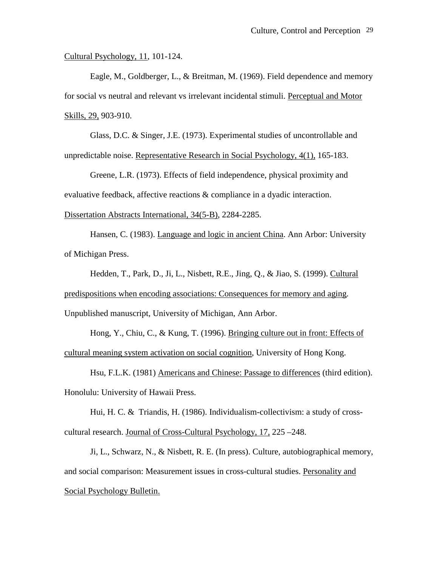Cultural Psychology, 11, 101-124.

Eagle, M., Goldberger, L., & Breitman, M. (1969). Field dependence and memory for social vs neutral and relevant vs irrelevant incidental stimuli. Perceptual and Motor Skills, 29, 903-910.

Glass, D.C. & Singer, J.E. (1973). Experimental studies of uncontrollable and unpredictable noise. Representative Research in Social Psychology, 4(1), 165-183.

Greene, L.R. (1973). Effects of field independence, physical proximity and evaluative feedback, affective reactions & compliance in a dyadic interaction. Dissertation Abstracts International, 34(5-B), 2284-2285.

Hansen, C. (1983). Language and logic in ancient China. Ann Arbor: University of Michigan Press.

Hedden, T., Park, D., Ji, L., Nisbett, R.E., Jing, Q., & Jiao, S. (1999). Cultural predispositions when encoding associations: Consequences for memory and aging. Unpublished manuscript, University of Michigan, Ann Arbor.

Hong, Y., Chiu, C., & Kung, T. (1996). Bringing culture out in front: Effects of cultural meaning system activation on social cognition, University of Hong Kong.

Hsu, F.L.K. (1981) Americans and Chinese: Passage to differences (third edition). Honolulu: University of Hawaii Press.

Hui, H. C. & Triandis, H. (1986). Individualism-collectivism: a study of crosscultural research. Journal of Cross-Cultural Psychology, 17, 225 –248.

Ji, L., Schwarz, N., & Nisbett, R. E. (In press). Culture, autobiographical memory, and social comparison: Measurement issues in cross-cultural studies. Personality and Social Psychology Bulletin.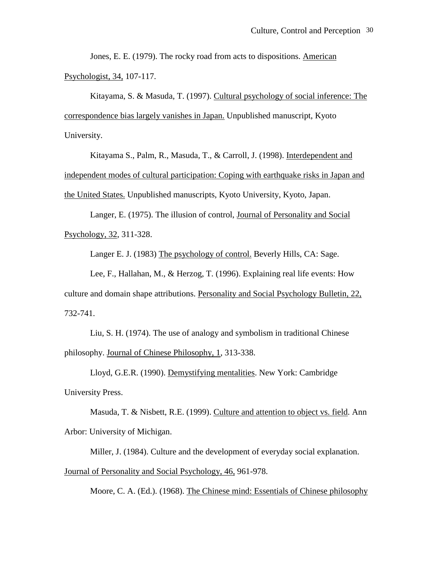Jones, E. E. (1979). The rocky road from acts to dispositions. American Psychologist, 34, 107-117.

Kitayama, S. & Masuda, T. (1997). Cultural psychology of social inference: The correspondence bias largely vanishes in Japan. Unpublished manuscript, Kyoto University.

Kitayama S., Palm, R., Masuda, T., & Carroll, J. (1998). Interdependent and independent modes of cultural participation: Coping with earthquake risks in Japan and the United States. Unpublished manuscripts, Kyoto University, Kyoto, Japan.

Langer, E. (1975). The illusion of control, Journal of Personality and Social Psychology, 32, 311-328.

Langer E. J. (1983) The psychology of control. Beverly Hills, CA: Sage.

Lee, F., Hallahan, M., & Herzog, T. (1996). Explaining real life events: How culture and domain shape attributions. Personality and Social Psychology Bulletin, 22, 732-741.

Liu, S. H. (1974). The use of analogy and symbolism in traditional Chinese philosophy. Journal of Chinese Philosophy, 1, 313-338.

Lloyd, G.E.R. (1990). Demystifying mentalities. New York: Cambridge University Press.

Masuda, T. & Nisbett, R.E. (1999). Culture and attention to object vs. field. Ann Arbor: University of Michigan.

Miller, J. (1984). Culture and the development of everyday social explanation. Journal of Personality and Social Psychology, 46, 961-978.

Moore, C. A. (Ed.). (1968). The Chinese mind: Essentials of Chinese philosophy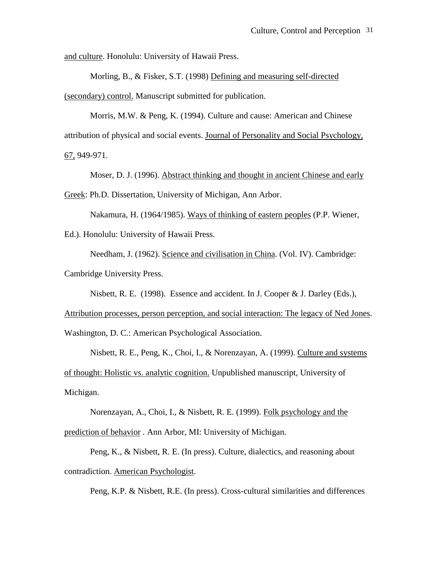and culture. Honolulu: University of Hawaii Press.

Morling, B., & Fisker, S.T. (1998) Defining and measuring self-directed (secondary) control. Manuscript submitted for publication.

Morris, M.W. & Peng, K. (1994). Culture and cause: American and Chinese attribution of physical and social events. Journal of Personality and Social Psychology, 67, 949-971.

Moser, D. J. (1996). Abstract thinking and thought in ancient Chinese and early

Greek: Ph.D. Dissertation, University of Michigan, Ann Arbor.

Nakamura, H. (1964/1985). Ways of thinking of eastern peoples (P.P. Wiener,

Ed.). Honolulu: University of Hawaii Press.

Needham, J. (1962). Science and civilisation in China. (Vol. IV). Cambridge: Cambridge University Press.

Nisbett, R. E. (1998). Essence and accident. In J. Cooper & J. Darley (Eds.),

Attribution processes, person perception, and social interaction: The legacy of Ned Jones. Washington, D. C.: American Psychological Association.

 Nisbett, R. E., Peng, K., Choi, I., & Norenzayan, A. (1999). Culture and systems of thought: Holistic vs. analytic cognition. Unpublished manuscript, University of Michigan.

Norenzayan, A., Choi, I., & Nisbett, R. E. (1999). Folk psychology and the prediction of behavior . Ann Arbor, MI: University of Michigan.

Peng, K., & Nisbett, R. E. (In press). Culture, dialectics, and reasoning about contradiction. American Psychologist.

Peng, K.P. & Nisbett, R.E. (In press). Cross-cultural similarities and differences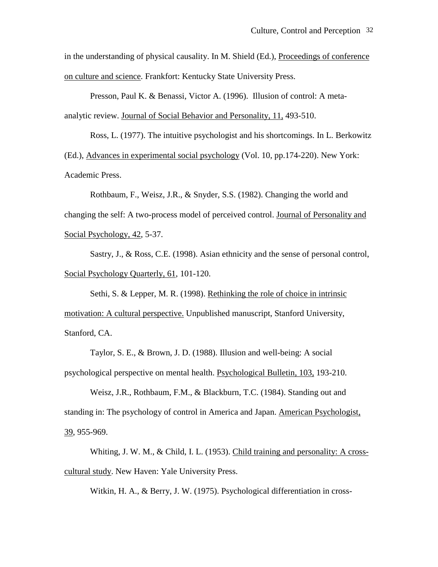in the understanding of physical causality. In M. Shield (Ed.), Proceedings of conference on culture and science. Frankfort: Kentucky State University Press.

Presson, Paul K. & Benassi, Victor A. (1996). Illusion of control: A metaanalytic review. Journal of Social Behavior and Personality, 11, 493-510.

Ross, L. (1977). The intuitive psychologist and his shortcomings. In L. Berkowitz (Ed.), Advances in experimental social psychology (Vol. 10, pp.174-220). New York: Academic Press.

Rothbaum, F., Weisz, J.R., & Snyder, S.S. (1982). Changing the world and changing the self: A two-process model of perceived control. Journal of Personality and Social Psychology, 42, 5-37.

Sastry, J., & Ross, C.E. (1998). Asian ethnicity and the sense of personal control, Social Psychology Quarterly, 61, 101-120.

Sethi, S. & Lepper, M. R. (1998). Rethinking the role of choice in intrinsic motivation: A cultural perspective. Unpublished manuscript, Stanford University, Stanford, CA.

Taylor, S. E., & Brown, J. D. (1988). Illusion and well-being: A social psychological perspective on mental health. Psychological Bulletin, 103, 193-210.

Weisz, J.R., Rothbaum, F.M., & Blackburn, T.C. (1984). Standing out and standing in: The psychology of control in America and Japan. American Psychologist, 39, 955-969.

Whiting, J. W. M., & Child, I. L. (1953). Child training and personality: A crosscultural study. New Haven: Yale University Press.

Witkin, H. A., & Berry, J. W. (1975). Psychological differentiation in cross-